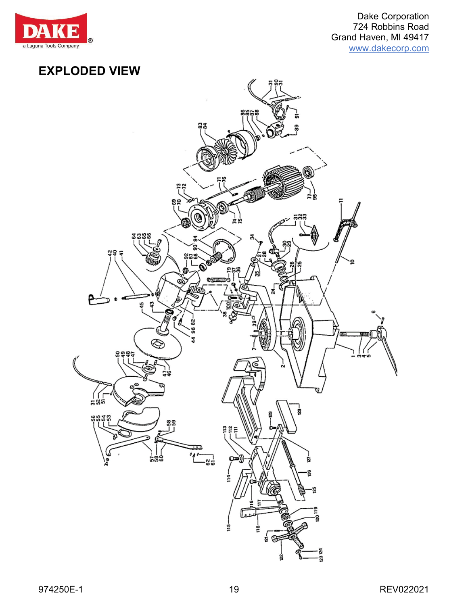

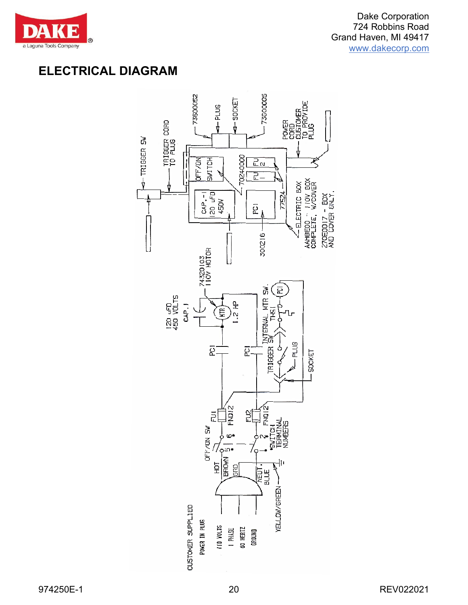

## **ELECTRICAL DIAGRAM**

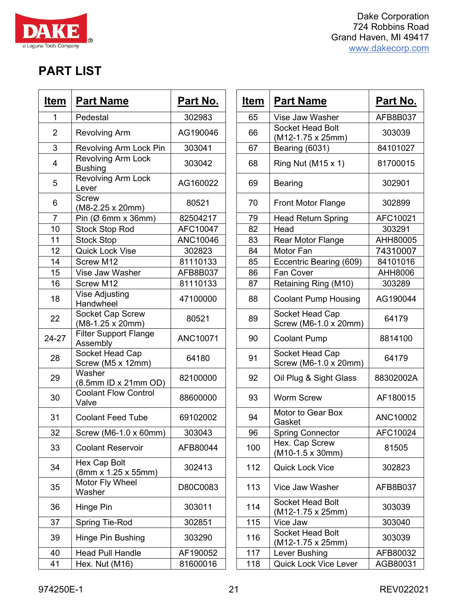| <b>Dake Corporation</b> |
|-------------------------|
| 724 Robbins Road        |
| Grand Haven, MI 49417   |
| www.dakecorp.com        |

## **PART LIST**

 $\overline{\mathbf{E}}$ 

DA

a Laguna Tools Company

| Item           | <b>Part Name</b>                                | <u>Part No.</u> | <b>Item</b> | <b>Part Name</b>                           |
|----------------|-------------------------------------------------|-----------------|-------------|--------------------------------------------|
| 1              | Pedestal                                        | 302983          | 65          | Vise Jaw Washer                            |
| $\overline{2}$ | <b>Revolving Arm</b>                            | AG190046        | 66          | Socket Head Bolt<br>(M12-1.75 x 25mm       |
| 3              | Revolving Arm Lock Pin                          | 303041          | 67          | Bearing (6031)                             |
| $\overline{4}$ | Revolving Arm Lock<br><b>Bushing</b>            | 303042          | 68          | Ring Nut (M15 x 1)                         |
| 5              | <b>Revolving Arm Lock</b><br>Lever              | AG160022        | 69          | <b>Bearing</b>                             |
| 6              | <b>Screw</b><br>$(M8-2.25 \times 20 \text{mm})$ | 80521           | 70          | <b>Front Motor Flange</b>                  |
| $\overline{7}$ | Pin $(\emptyset$ 6mm x 36mm)                    | 82504217        | 79          | <b>Head Return Spring</b>                  |
| 10             | <b>Stock Stop Rod</b>                           | AFC10047        | 82          | Head                                       |
| 11             | <b>Stock Stop</b>                               | ANC10046        | 83          | <b>Rear Motor Flange</b>                   |
| 12             | <b>Quick Lock Vise</b>                          | 302823          | 84          | Motor Fan                                  |
| 14             | Screw M12                                       | 81110133        | 85          | Eccentric Bearing (                        |
| 15             | Vise Jaw Washer                                 | AFB8B037        | 86          | <b>Fan Cover</b>                           |
| 16             | Screw M12                                       | 81110133        | 87          | Retaining Ring (M1                         |
| 18             | <b>Vise Adjusting</b><br>Handwheel              | 47100000        | 88          | <b>Coolant Pump Hou</b>                    |
| 22             | Socket Cap Screw<br>(M8-1.25 x 20mm)            | 80521           | 89          | Socket Head Cap<br>Screw (M6-1.0 x 20      |
| 24-27          | <b>Filter Support Flange</b><br>Assembly        | ANC10071        | 90          | <b>Coolant Pump</b>                        |
| 28             | Socket Head Cap<br>Screw (M5 x 12mm)            | 64180           | 91          | Socket Head Cap<br>Screw (M6-1.0 x 20      |
| 29             | Washer<br>(8.5mm ID x 21mm OD)                  | 82100000        | 92          | Oil Plug & Sight Gla                       |
| 30             | <b>Coolant Flow Control</b><br>Valve            | 88600000        | 93          | <b>Worm Screw</b>                          |
| 31             | <b>Coolant Feed Tube</b>                        | 69102002        | 94          | Motor to Gear Box<br>Gasket                |
| 32             | Screw (M6-1.0 x 60mm)                           | 303043          | 96          | <b>Spring Connector</b>                    |
| 33             | <b>Coolant Reservoir</b>                        | AFB80044        | 100         | Hex. Cap Screw<br>$(M10-1.5 \times 30$ mm) |
| 34             | Hex Cap Bolt<br>(8mm x 1.25 x 55mm)             | 302413          | 112         | <b>Quick Lock Vice</b>                     |
| 35             | Motor Fly Wheel<br>Washer                       | D80C0083        | 113         | Vice Jaw Washer                            |
| 36             | Hinge Pin                                       | 303011          | 114         | Socket Head Bolt<br>(M12-1.75 x 25mm)      |
| 37             | Spring Tie-Rod                                  | 302851          | 115         | Vice Jaw                                   |
| 39             | Hinge Pin Bushing                               | 303290          | 116         | Socket Head Bolt<br>(M12-1.75 x 25mm       |
| 40             | <b>Head Pull Handle</b>                         | AF190052        | 117         | Lever Bushing                              |
| 41             | Hex. Nut (M16)                                  | 81600016        | 118         | Quick Lock Vice Le                         |

| <u>Item</u>    | <b>Part Name</b>                                | <u>Part No.</u> | <u>Item</u> | <b>Part Name</b>                             | <u>Part No.</u> |
|----------------|-------------------------------------------------|-----------------|-------------|----------------------------------------------|-----------------|
| 1              | Pedestal                                        | 302983          | 65          | Vise Jaw Washer                              | AFB8B037        |
| $\overline{2}$ | <b>Revolving Arm</b>                            | AG190046        | 66          | Socket Head Bolt<br>(M12-1.75 x 25mm)        | 303039          |
| 3              | Revolving Arm Lock Pin                          | 303041          | 67          | Bearing (6031)                               | 84101027        |
| 4              | Revolving Arm Lock<br><b>Bushing</b>            | 303042          | 68          | Ring Nut (M15 x 1)                           | 81700015        |
| 5              | <b>Revolving Arm Lock</b><br>Lever              | AG160022        | 69          | <b>Bearing</b>                               | 302901          |
| 6              | <b>Screw</b><br>$(M8-2.25 \times 20 \text{mm})$ | 80521           | 70          | Front Motor Flange                           | 302899          |
| $\overline{7}$ | Pin $(\emptyset$ 6mm x 36mm)                    | 82504217        | 79          | <b>Head Return Spring</b>                    | AFC10021        |
| 10             | <b>Stock Stop Rod</b>                           | AFC10047        | 82          | Head                                         | 303291          |
| 11             | <b>Stock Stop</b>                               | ANC10046        | 83          | Rear Motor Flange                            | AHH80005        |
| 12             | <b>Quick Lock Vise</b>                          | 302823          | 84          | Motor Fan                                    | 74310007        |
| 14             | Screw M12                                       | 81110133        | 85          | Eccentric Bearing (609)                      | 84101016        |
| 15             | Vise Jaw Washer                                 | AFB8B037        | 86          | <b>Fan Cover</b>                             | AHH8006         |
| 16             | Screw M12                                       | 81110133        | 87          | Retaining Ring (M10)                         | 303289          |
| 18             | <b>Vise Adjusting</b><br>Handwheel              | 47100000        | 88          | <b>Coolant Pump Housing</b>                  | AG190044        |
| 22             | <b>Socket Cap Screw</b><br>(M8-1.25 x 20mm)     | 80521           | 89          | Socket Head Cap<br>Screw (M6-1.0 x 20mm)     | 64179           |
| 24-27          | <b>Filter Support Flange</b><br>Assembly        | ANC10071        | 90          | <b>Coolant Pump</b>                          | 8814100         |
| 28             | Socket Head Cap<br>Screw (M5 x 12mm)            | 64180           | 91          | Socket Head Cap<br>Screw (M6-1.0 x 20mm)     | 64179           |
| 29             | Washer<br>(8.5mm ID x 21mm OD)                  | 82100000        | 92          | Oil Plug & Sight Glass                       | 88302002A       |
| 30             | <b>Coolant Flow Control</b><br>Valve            | 88600000        | 93          | <b>Worm Screw</b>                            | AF180015        |
| 31             | <b>Coolant Feed Tube</b>                        | 69102002        | 94          | Motor to Gear Box<br>Gasket                  | ANC10002        |
| 32             | Screw (M6-1.0 x 60mm)                           | 303043          | 96          | <b>Spring Connector</b>                      | AFC10024        |
| 33             | <b>Coolant Reservoir</b>                        | AFB80044        | 100         | Hex. Cap Screw<br>$(M10-1.5 \times 30$ mm)   | 81505           |
| 34             | Hex Cap Bolt<br>$(8mm \times 1.25 \times 55mm)$ | 302413          | 112         | <b>Quick Lock Vice</b>                       | 302823          |
| 35             | Motor Fly Wheel<br>Washer                       | D80C0083        | 113         | Vice Jaw Washer                              | AFB8B037        |
| 36             | Hinge Pin                                       | 303011          | 114         | Socket Head Bolt<br>$(M12-1.75 \times 25mm)$ | 303039          |
| 37             | <b>Spring Tie-Rod</b>                           | 302851          | 115         | Vice Jaw                                     | 303040          |
| 39             | Hinge Pin Bushing                               | 303290          | 116         | Socket Head Bolt<br>$(M12-1.75 \times 25mm)$ | 303039          |
| 40             | <b>Head Pull Handle</b>                         | AF190052        | 117         | Lever Bushing                                | AFB80032        |
| 41             | Hex. Nut (M16)                                  | 81600016        | 118         | Quick Lock Vice Lever                        | AGB80031        |